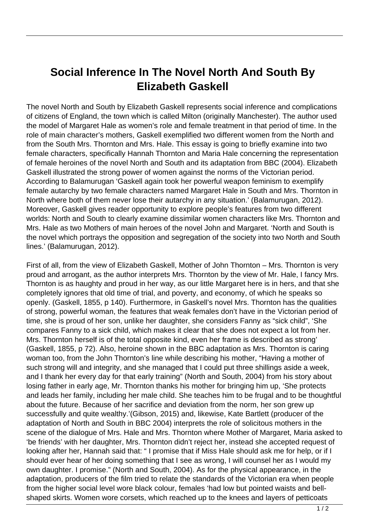## **Social Inference In The Novel North And South By Elizabeth Gaskell**

The novel North and South by Elizabeth Gaskell represents social inference and complications of citizens of England, the town which is called Milton (originally Manchester). The author used the model of Margaret Hale as women's role and female treatment in that period of time. In the role of main character's mothers, Gaskell exemplified two different women from the North and from the South Mrs. Thornton and Mrs. Hale. This essay is going to briefly examine into two female characters, specifically Hannah Thornton and Maria Hale concerning the representation of female heroines of the novel North and South and its adaptation from BBC (2004). Elizabeth Gaskell illustrated the strong power of women against the norms of the Victorian period. According to Balamurugan 'Gaskell again took her powerful weapon feminism to exemplify female autarchy by two female characters named Margaret Hale in South and Mrs. Thornton in North where both of them never lose their autarchy in any situation.' (Balamurugan, 2012). Moreover, Gaskell gives reader opportunity to explore people's features from two different worlds: North and South to clearly examine dissimilar women characters like Mrs. Thornton and Mrs. Hale as two Mothers of main heroes of the novel John and Margaret. 'North and South is the novel which portrays the opposition and segregation of the society into two North and South lines.' (Balamurugan, 2012).

First of all, from the view of Elizabeth Gaskell, Mother of John Thornton – Mrs. Thornton is very proud and arrogant, as the author interprets Mrs. Thornton by the view of Mr. Hale, I fancy Mrs. Thornton is as haughty and proud in her way, as our little Margaret here is in hers, and that she completely ignores that old time of trial, and poverty, and economy, of which he speaks so openly. (Gaskell, 1855, p 140). Furthermore, in Gaskell's novel Mrs. Thornton has the qualities of strong, powerful woman, the features that weak females don't have in the Victorian period of time, she is proud of her son, unlike her daughter, she considers Fanny as "sick child", 'She compares Fanny to a sick child, which makes it clear that she does not expect a lot from her. Mrs. Thornton herself is of the total opposite kind, even her frame is described as strong' (Gaskell, 1855, p 72). Also, heroine shown in the BBC adaptation as Mrs. Thornton is caring woman too, from the John Thornton's line while describing his mother, "Having a mother of such strong will and integrity, and she managed that I could put three shillings aside a week, and I thank her every day for that early training" (North and South, 2004) from his story about losing father in early age, Mr. Thornton thanks his mother for bringing him up, 'She protects and leads her family, including her male child. She teaches him to be frugal and to be thoughtful about the future. Because of her sacrifice and deviation from the norm, her son grew up successfully and quite wealthy.'(Gibson, 2015) and, likewise, Kate Bartlett (producer of the adaptation of North and South in BBC 2004) interprets the role of solicitous mothers in the scene of the dialogue of Mrs. Hale and Mrs. Thornton where Mother of Margaret, Maria asked to 'be friends' with her daughter, Mrs. Thornton didn't reject her, instead she accepted request of looking after her, Hannah said that: " I promise that if Miss Hale should ask me for help, or if I should ever hear of her doing something that I see as wrong, I will counsel her as I would my own daughter. I promise." (North and South, 2004). As for the physical appearance, in the adaptation, producers of the film tried to relate the standards of the Victorian era when people from the higher social level wore black colour, females 'had low but pointed waists and bellshaped skirts. Women wore corsets, which reached up to the knees and layers of petticoats